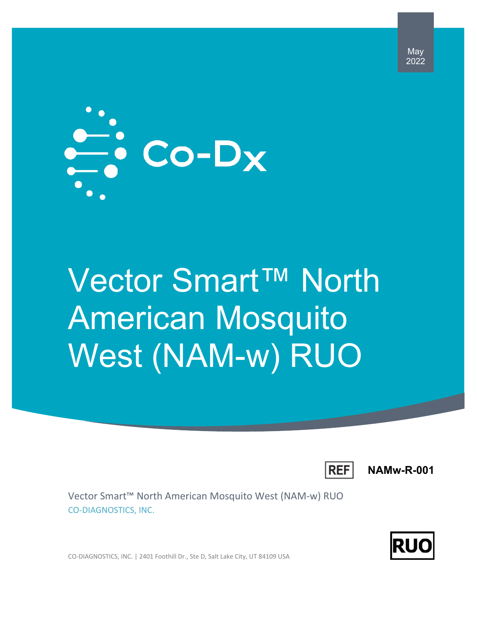

# Vector Smart™ North American Mosquito West (NAM-w) RUO



**NAMw-R-001**

May 2022

Vector Smart™ North American Mosquito West (NAM-w) RUO CO-DIAGNOSTICS, INC.

IRU

CO-DIAGNOSTICS, INC. | 2401 Foothill Dr., Ste D, Salt Lake City, UT 84109 USA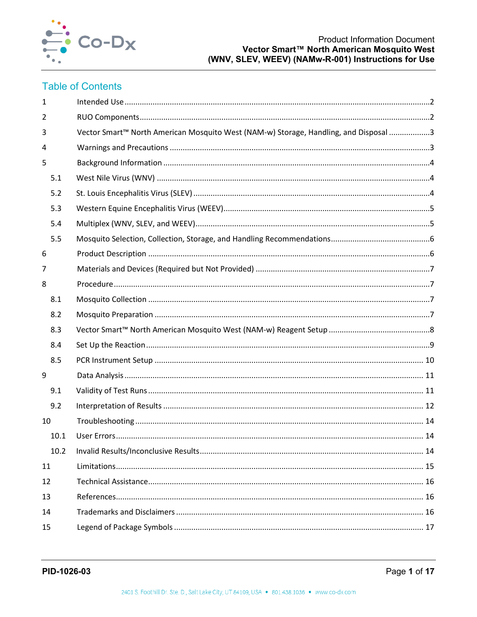

# **Table of Contents**

| $\mathbf{1}$ |                                                                                      |  |
|--------------|--------------------------------------------------------------------------------------|--|
| 2            |                                                                                      |  |
| 3            | Vector Smart™ North American Mosquito West (NAM-w) Storage, Handling, and Disposal 3 |  |
| 4            |                                                                                      |  |
| 5            |                                                                                      |  |
| 5.1          |                                                                                      |  |
| 5.2          |                                                                                      |  |
| 5.3          |                                                                                      |  |
| 5.4          |                                                                                      |  |
| 5.5          |                                                                                      |  |
| 6            |                                                                                      |  |
| 7            |                                                                                      |  |
| 8            |                                                                                      |  |
| 8.1          |                                                                                      |  |
| 8.2          |                                                                                      |  |
| 8.3          |                                                                                      |  |
| 8.4          |                                                                                      |  |
| 8.5          |                                                                                      |  |
| 9            |                                                                                      |  |
| 9.1          |                                                                                      |  |
| 9.2          |                                                                                      |  |
| 10           |                                                                                      |  |
| 10.1         |                                                                                      |  |
| 10.2         |                                                                                      |  |
| 11           |                                                                                      |  |
| 12           |                                                                                      |  |
| 13           |                                                                                      |  |
| 14           |                                                                                      |  |
| 15           |                                                                                      |  |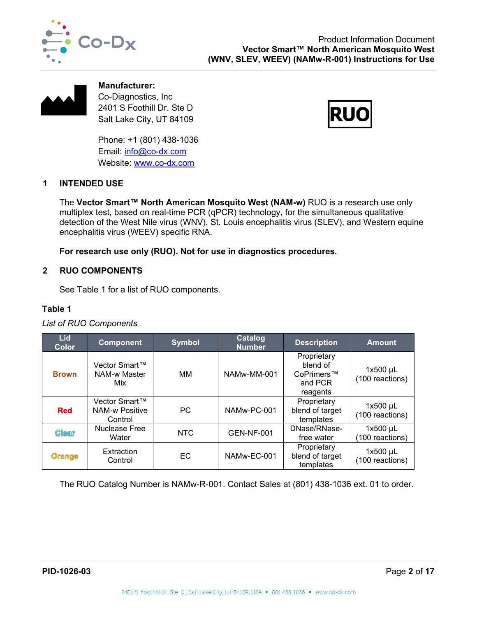



**Manufacturer:** Co-Diagnostics, Inc 2401 S Foothill Dr. Ste D Salt Lake City, UT 84109

Phone: +1 (801) 438-1036 Email: [info@co-dx.com](mailto:info@co-dx.com) Website: [www.co-dx.com](http://www.co-dx.com/)



# <span id="page-2-0"></span>**1 INTENDED USE**

The **Vector Smart™ North American Mosquito West (NAM-w)** RUO is a research use only multiplex test, based on real-time PCR (qPCR) technology, for the simultaneous qualitative detection of the West Nile virus (WNV), St. Louis encephalitis virus (SLEV), and Western equine encephalitis virus (WEEV) specific RNA.

**For research use only (RUO). Not for use in diagnostics procedures.**

#### <span id="page-2-1"></span>**2 RUO COMPONENTS**

See [Table 1](#page-2-2) for a list of RUO components.

#### <span id="page-2-2"></span>**Table 1**

#### *List of RUO Components*

| <b>Lid</b><br><b>Color</b> | <b>Component</b>                                  | <b>Symbol</b> | Catalog<br><b>Number</b> | <b>Description</b>                                           | <b>Amount</b>                 |
|----------------------------|---------------------------------------------------|---------------|--------------------------|--------------------------------------------------------------|-------------------------------|
| <b>Brown</b>               | Vector Smart™<br><b>NAM-w Master</b><br>Mix       | MМ            | NAMw-MM-001              | Proprietary<br>blend of<br>CoPrimers™<br>and PCR<br>reagents | $1x500$ µL<br>(100 reactions) |
| <b>Red</b>                 | Vector Smart™<br><b>NAM-w Positive</b><br>Control | <b>PC</b>     | NAMw-PC-001              | Proprietary<br>blend of target<br>templates                  | $1x500$ µL<br>(100 reactions) |
| <b>Clear</b>               | Nuclease Free<br>Water                            | <b>NTC</b>    | <b>GEN-NF-001</b>        | DNase/RNase-<br>free water                                   | $1x500$ µL<br>(100 reactions) |
| <b>Orange</b>              | Extraction<br>Control                             | EC            | NAMw-EC-001              | Proprietary<br>blend of target<br>templates                  | $1x500$ µL<br>(100 reactions) |

The RUO Catalog Number is NAMw-R-001. Contact Sales at (801) 438-1036 ext. 01 to order.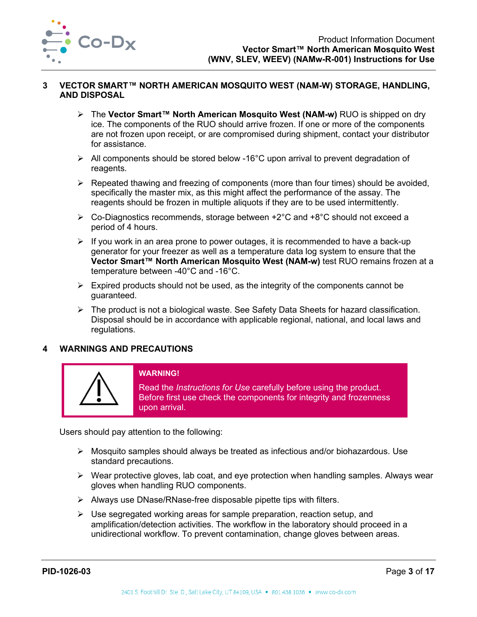

#### <span id="page-3-0"></span>**3 VECTOR SMART™ NORTH AMERICAN MOSQUITO WEST (NAM-W) STORAGE, HANDLING, AND DISPOSAL**

- The **Vector Smart™ North American Mosquito West (NAM-w)** RUO is shipped on dry ice. The components of the RUO should arrive frozen. If one or more of the components are not frozen upon receipt, or are compromised during shipment, contact your distributor for assistance.
- $\triangleright$  All components should be stored below -16°C upon arrival to prevent degradation of reagents.
- $\triangleright$  Repeated thawing and freezing of components (more than four times) should be avoided, specifically the master mix, as this might affect the performance of the assay. The reagents should be frozen in multiple aliquots if they are to be used intermittently.
- $\triangleright$  Co-Diagnostics recommends, storage between +2 $^{\circ}$ C and +8 $^{\circ}$ C should not exceed a period of 4 hours.
- $\triangleright$  If you work in an area prone to power outages, it is recommended to have a back-up generator for your freezer as well as a temperature data log system to ensure that the **Vector Smart™ North American Mosquito West (NAM-w)** test RUO remains frozen at a temperature between -40°C and -16°C.
- $\triangleright$  Expired products should not be used, as the integrity of the components cannot be guaranteed.
- $\triangleright$  The product is not a biological waste. See Safety Data Sheets for hazard classification. Disposal should be in accordance with applicable regional, national, and local laws and regulations.

## <span id="page-3-1"></span>**4 WARNINGS AND PRECAUTIONS**



# **WARNING!**

Read the *Instructions for Use* carefully before using the product. Before first use check the components for integrity and frozenness upon arrival.

Users should pay attention to the following:

- $\triangleright$  Mosquito samples should always be treated as infectious and/or biohazardous. Use standard precautions.
- $\triangleright$  Wear protective gloves, lab coat, and eye protection when handling samples. Always wear gloves when handling RUO components.
- $\triangleright$  Always use DNase/RNase-free disposable pipette tips with filters.
- $\triangleright$  Use segregated working areas for sample preparation, reaction setup, and amplification/detection activities. The workflow in the laboratory should proceed in a unidirectional workflow. To prevent contamination, change gloves between areas.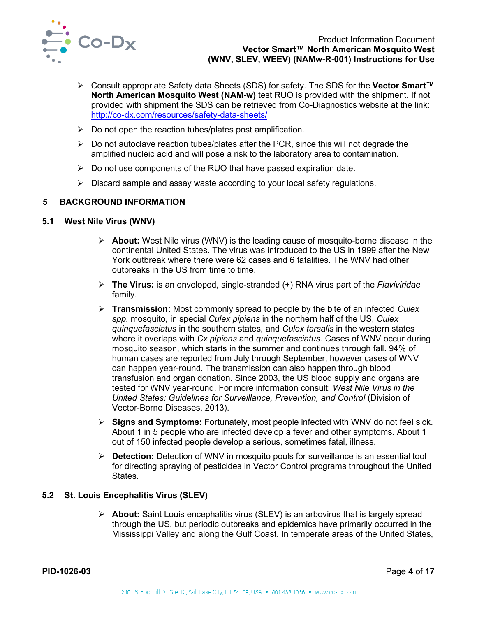

- Consult appropriate Safety data Sheets (SDS) for safety. The SDS for the **Vector Smart™ North American Mosquito West (NAM-w)** test RUO is provided with the shipment. If not provided with shipment the SDS can be retrieved from Co-Diagnostics website at the link: <http://co-dx.com/resources/safety-data-sheets/>
- $\triangleright$  Do not open the reaction tubes/plates post amplification.
- $\triangleright$  Do not autoclave reaction tubes/plates after the PCR, since this will not degrade the amplified nucleic acid and will pose a risk to the laboratory area to contamination.
- $\triangleright$  Do not use components of the RUO that have passed expiration date.
- $\triangleright$  Discard sample and assay waste according to your local safety regulations.

#### <span id="page-4-0"></span>**5 BACKGROUND INFORMATION**

#### <span id="page-4-1"></span>**5.1 West Nile Virus (WNV)**

- **About:** West Nile virus (WNV) is the leading cause of mosquito-borne disease in the continental United States. The virus was introduced to the US in 1999 after the New York outbreak where there were 62 cases and 6 fatalities. The WNV had other outbreaks in the US from time to time.
- **The Virus:** is an enveloped, single-stranded (+) RNA virus part of the *Flaviviridae*  family.
- **Transmission:** Most commonly spread to people by the bite of an infected *Culex spp.* mosquito, in special *Culex pipiens* in the northern half of the US, *Culex quinquefasciatus* in the southern states, and *Culex tarsalis* in the western states where it overlaps with *Cx pipiens* and *quinquefasciatus*. Cases of WNV occur during mosquito season, which starts in the summer and continues through fall. 94% of human cases are reported from July through September, however cases of WNV can happen year-round. The transmission can also happen through blood transfusion and organ donation. Since 2003, the US blood supply and organs are tested for WNV year-round. For more information consult: *West Nile Virus in the United States: Guidelines for Surveillance, Prevention, and Control* (Division of Vector-Borne Diseases, 2013).
- **Signs and Symptoms:** Fortunately, most people infected with WNV do not feel sick. About 1 in 5 people who are infected develop a fever and other symptoms. About 1 out of 150 infected people develop a serious, sometimes fatal, illness.
- **Detection:** Detection of WNV in mosquito pools for surveillance is an essential tool for directing spraying of pesticides in Vector Control programs throughout the United States.

#### <span id="page-4-2"></span>**5.2 St. Louis Encephalitis Virus (SLEV)**

 **About:** Saint Louis encephalitis virus (SLEV) is an arbovirus that is largely spread through the US, but periodic outbreaks and epidemics have primarily occurred in the Mississippi Valley and along the Gulf Coast. In temperate areas of the United States,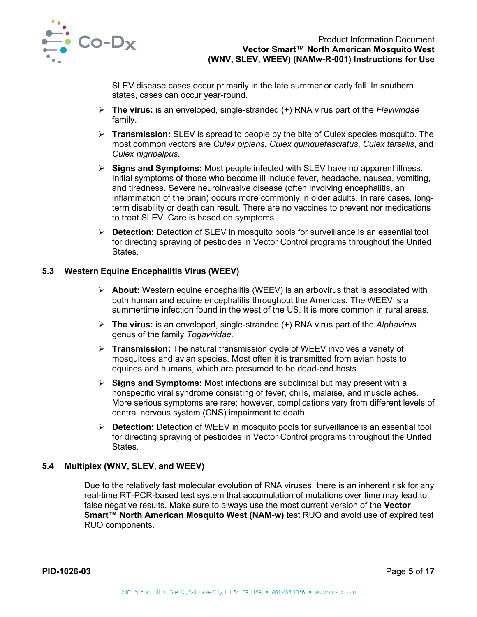

SLEV disease cases occur primarily in the late summer or early fall. In southern states, cases can occur year-round.

- **The virus:** is an enveloped, single-stranded (+) RNA virus part of the *Flaviviridae*  family.
- **Transmission:** SLEV is spread to people by the bite of Culex species mosquito. The most common vectors are *Culex pipiens*, *Culex quinquefasciatus*, *Culex tarsalis*, and *Culex nigripalpus*.
- **Signs and Symptoms:** Most people infected with SLEV have no apparent illness. Initial symptoms of those who become ill include fever, headache, nausea, vomiting, and tiredness. Severe neuroinvasive disease (often involving encephalitis, an inflammation of the brain) occurs more commonly in older adults. In rare cases, longterm disability or death can result. There are no vaccines to prevent nor medications to treat SLEV. Care is based on symptoms.
- **Detection:** Detection of SLEV in mosquito pools for surveillance is an essential tool for directing spraying of pesticides in Vector Control programs throughout the United **States**

#### <span id="page-5-0"></span>**5.3 Western Equine Encephalitis Virus (WEEV)**

- **About:** Western equine encephalitis (WEEV) is an arbovirus that is associated with both human and equine encephalitis throughout the Americas. The WEEV is a summertime infection found in the west of the US. It is more common in rural areas.
- **The virus:** is an enveloped, single-stranded (+) RNA virus part of the *Alphavirus*  genus of the family *Togaviridae.*
- **Transmission:** The natural transmission cycle of WEEV involves a variety of mosquitoes and avian species. Most often it is transmitted from avian hosts to equines and humans, which are presumed to be dead-end hosts.
- **Signs and Symptoms:** Most infections are subclinical but may present with a nonspecific viral syndrome consisting of fever, chills, malaise, and muscle aches. More serious symptoms are rare; however, complications vary from different levels of central nervous system (CNS) impairment to death.
- **Detection:** Detection of WEEV in mosquito pools for surveillance is an essential tool for directing spraying of pesticides in Vector Control programs throughout the United States.

## <span id="page-5-1"></span>**5.4 Multiplex (WNV, SLEV, and WEEV)**

Due to the relatively fast molecular evolution of RNA viruses, there is an inherent risk for any real-time RT-PCR-based test system that accumulation of mutations over time may lead to false negative results. Make sure to always use the most current version of the **Vector Smart™ North American Mosquito West (NAM-w)** test RUO and avoid use of expired test RUO components.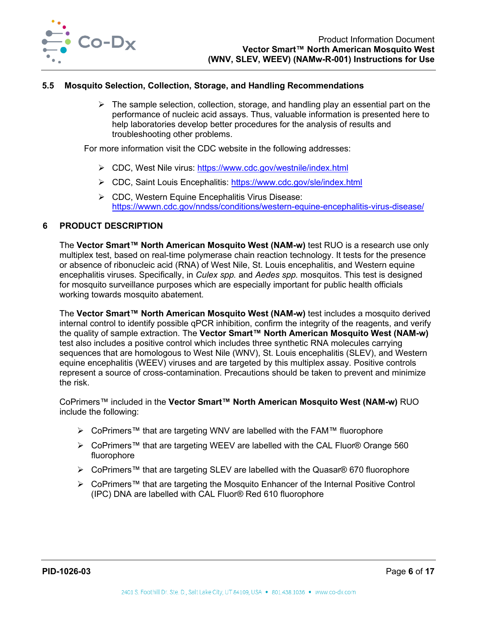

#### <span id="page-6-0"></span>**5.5 Mosquito Selection, Collection, Storage, and Handling Recommendations**

 $\triangleright$  The sample selection, collection, storage, and handling play an essential part on the performance of nucleic acid assays. Thus, valuable information is presented here to help laboratories develop better procedures for the analysis of results and troubleshooting other problems.

For more information visit the CDC website in the following addresses:

- CDC, West Nile virus:<https://www.cdc.gov/westnile/index.html>
- CDC, Saint Louis Encephalitis:<https://www.cdc.gov/sle/index.html>
- CDC, Western Equine Encephalitis Virus Disease: <https://wwwn.cdc.gov/nndss/conditions/western-equine-encephalitis-virus-disease/>

#### <span id="page-6-1"></span>**6 PRODUCT DESCRIPTION**

The **Vector Smart™ North American Mosquito West (NAM-w)** test RUO is a research use only multiplex test, based on real-time polymerase chain reaction technology. It tests for the presence or absence of ribonucleic acid (RNA) of West Nile, St. Louis encephalitis, and Western equine encephalitis viruses. Specifically, in *Culex spp.* and *Aedes spp.* mosquitos. This test is designed for mosquito surveillance purposes which are especially important for public health officials working towards mosquito abatement.

The **Vector Smart™ North American Mosquito West (NAM-w)** test includes a mosquito derived internal control to identify possible qPCR inhibition, confirm the integrity of the reagents, and verify the quality of sample extraction. The **Vector Smart™ North American Mosquito West (NAM-w)** test also includes a positive control which includes three synthetic RNA molecules carrying sequences that are homologous to West Nile (WNV), St. Louis encephalitis (SLEV), and Western equine encephalitis (WEEV) viruses and are targeted by this multiplex assay. Positive controls represent a source of cross-contamination. Precautions should be taken to prevent and minimize the risk.

CoPrimers™ included in the **Vector Smart™ North American Mosquito West (NAM-w)** RUO include the following:

- CoPrimers™ that are targeting WNV are labelled with the FAM™ fluorophore
- CoPrimers™ that are targeting WEEV are labelled with the CAL Fluor® Orange 560 fluorophore
- CoPrimers™ that are targeting SLEV are labelled with the Quasar® 670 fluorophore
- CoPrimers™ that are targeting the Mosquito Enhancer of the Internal Positive Control (IPC) DNA are labelled with CAL Fluor® Red 610 fluorophore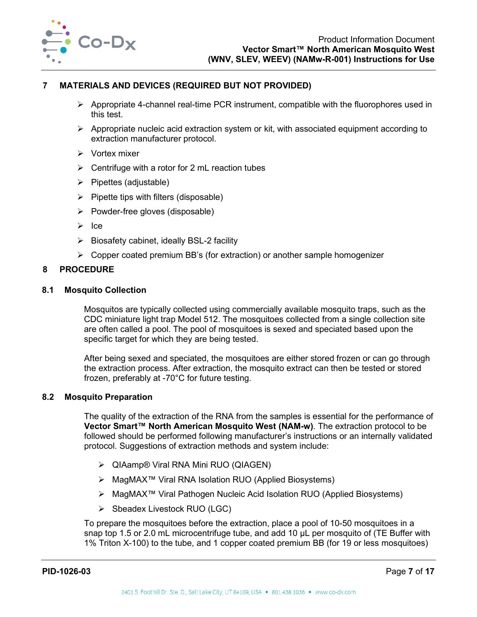

## <span id="page-7-0"></span>**7 MATERIALS AND DEVICES (REQUIRED BUT NOT PROVIDED)**

- $\triangleright$  Appropriate 4-channel real-time PCR instrument, compatible with the fluorophores used in this test.
- $\triangleright$  Appropriate nucleic acid extraction system or kit, with associated equipment according to extraction manufacturer protocol.
- $\triangleright$  Vortex mixer
- $\triangleright$  Centrifuge with a rotor for 2 mL reaction tubes
- $\triangleright$  Pipettes (adjustable)
- $\triangleright$  Pipette tips with filters (disposable)
- $\triangleright$  Powder-free gloves (disposable)
- $\triangleright$  Ice
- $\triangleright$  Biosafety cabinet, ideally BSL-2 facility
- $\triangleright$  Copper coated premium BB's (for extraction) or another sample homogenizer

#### <span id="page-7-1"></span>**8 PROCEDURE**

#### <span id="page-7-2"></span>**8.1 Mosquito Collection**

Mosquitos are typically collected using commercially available mosquito traps, such as the CDC miniature light trap Model 512. The mosquitoes collected from a single collection site are often called a pool. The pool of mosquitoes is sexed and speciated based upon the specific target for which they are being tested.

After being sexed and speciated, the mosquitoes are either stored frozen or can go through the extraction process. After extraction, the mosquito extract can then be tested or stored frozen, preferably at -70°C for future testing.

#### <span id="page-7-3"></span>**8.2 Mosquito Preparation**

The quality of the extraction of the RNA from the samples is essential for the performance of **Vector Smart™ North American Mosquito West (NAM-w)**. The extraction protocol to be followed should be performed following manufacturer's instructions or an internally validated protocol. Suggestions of extraction methods and system include:

- QIAamp® Viral RNA Mini RUO (QIAGEN)
- MagMAX™ Viral RNA Isolation RUO (Applied Biosystems)
- MagMAX™ Viral Pathogen Nucleic Acid Isolation RUO (Applied Biosystems)
- $\triangleright$  Sbeadex Livestock RUO (LGC)

To prepare the mosquitoes before the extraction, place a pool of 10-50 mosquitoes in a snap top 1.5 or 2.0 mL microcentrifuge tube, and add 10 µL per mosquito of (TE Buffer with 1% Triton X-100) to the tube, and 1 copper coated premium BB (for 19 or less mosquitoes)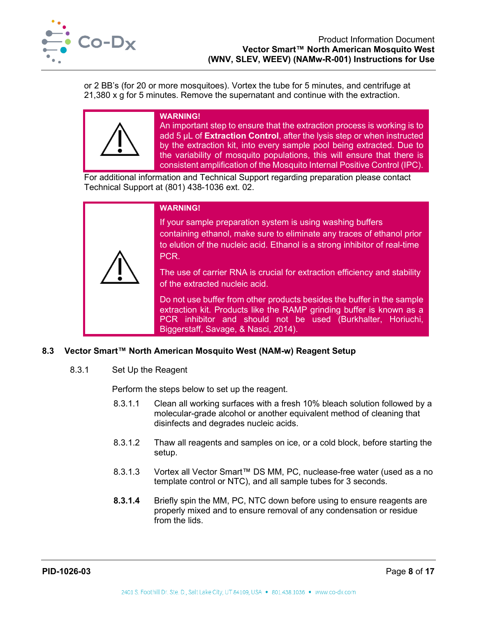

or 2 BB's (for 20 or more mosquitoes). Vortex the tube for 5 minutes, and centrifuge at 21,380 x g for 5 minutes. Remove the supernatant and continue with the extraction.

#### **WARNING!**

An important step to ensure that the extraction process is working is to add 5 µL of **Extraction Control**, after the lysis step or when instructed by the extraction kit, into every sample pool being extracted. Due to the variability of mosquito populations, this will ensure that there is consistent amplification of the Mosquito Internal Positive Control (IPC).

For additional information and Technical Support regarding preparation please contact Technical Support at (801) 438-1036 ext. 02.

| <b>WARNING!</b>                                                                                                                                                                                                                                       |
|-------------------------------------------------------------------------------------------------------------------------------------------------------------------------------------------------------------------------------------------------------|
| If your sample preparation system is using washing buffers<br>containing ethanol, make sure to eliminate any traces of ethanol prior<br>to elution of the nucleic acid. Ethanol is a strong inhibitor of real-time<br>PCR.                            |
| The use of carrier RNA is crucial for extraction efficiency and stability<br>of the extracted nucleic acid.                                                                                                                                           |
| Do not use buffer from other products besides the buffer in the sample<br>extraction kit. Products like the RAMP grinding buffer is known as a<br>PCR inhibitor and should not be used (Burkhalter, Horiuchi,<br>Biggerstaff, Savage, & Nasci, 2014). |

#### <span id="page-8-0"></span>**8.3 Vector Smart™ North American Mosquito West (NAM-w) Reagent Setup**

8.3.1 Set Up the Reagent

Perform the steps below to set up the reagent.

- 8.3.1.1 Clean all working surfaces with a fresh 10% bleach solution followed by a molecular-grade alcohol or another equivalent method of cleaning that disinfects and degrades nucleic acids.
- 8.3.1.2 Thaw all reagents and samples on ice, or a cold block, before starting the setup.
- 8.3.1.3 Vortex all Vector Smart™ DS MM, PC, nuclease-free water (used as a no template control or NTC), and all sample tubes for 3 seconds.
- <span id="page-8-1"></span>**8.3.1.4** Briefly spin the MM, PC, NTC down before using to ensure reagents are properly mixed and to ensure removal of any condensation or residue from the lids.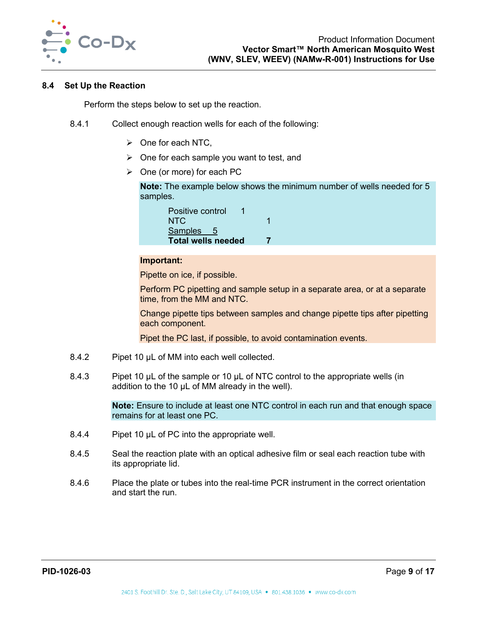

#### **8.4 Set Up the Reaction**

Perform the steps below to set up the reaction.

- 8.4.1 Collect enough reaction wells for each of the following:
	- $\triangleright$  One for each NTC,
	- $\triangleright$  One for each sample you want to test, and
	- $\triangleright$  One (or more) for each PC

**Note:** The example below shows the minimum number of wells needed for 5 samples.

| Positive control<br>1     |  |
|---------------------------|--|
| NTC.                      |  |
| Samples 5                 |  |
| <b>Total wells needed</b> |  |

#### **Important:**

Pipette on ice, if possible.

Perform PC pipetting and sample setup in a separate area, or at a separate time, from the MM and NTC.

Change pipette tips between samples and change pipette tips after pipetting each component.

Pipet the PC last, if possible, to avoid contamination events.

- 8.4.2 Pipet 10 µL of MM into each well collected.
- 8.4.3 Pipet 10 µL of the sample or 10 µL of NTC control to the appropriate wells (in addition to the 10 µL of MM already in the well).

**Note:** Ensure to include at least one NTC control in each run and that enough space remains for at least one PC.

- 8.4.4 Pipet 10 µL of PC into the appropriate well.
- 8.4.5 Seal the reaction plate with an optical adhesive film or seal each reaction tube with its appropriate lid.
- 8.4.6 Place the plate or tubes into the real-time PCR instrument in the correct orientation and start the run.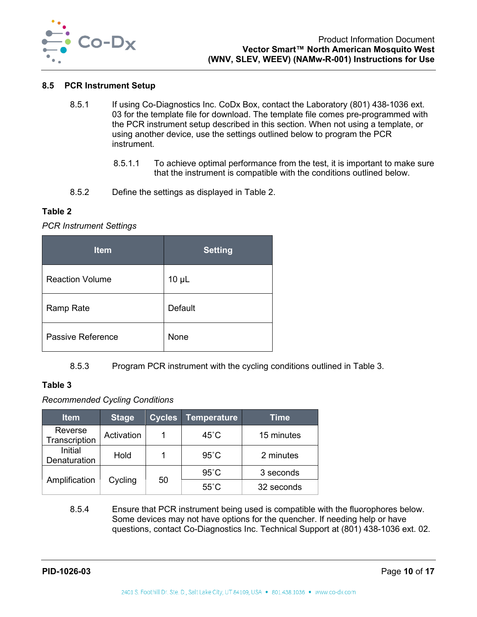

#### <span id="page-10-0"></span>**8.5 PCR Instrument Setup**

- 8.5.1 If using Co-Diagnostics Inc. CoDx Box, contact the Laboratory (801) 438-1036 ext. 03 for the template file for download. The template file comes pre-programmed with the PCR instrument setup described in this section. When not using a template, or using another device, use the settings outlined below to program the PCR instrument.
	- 8.5.1.1 To achieve optimal performance from the test, it is important to make sure that the instrument is compatible with the conditions outlined below.
- 8.5.2 Define the settings as displayed in [Table 2.](#page-10-1)

#### <span id="page-10-1"></span>**Table 2**

#### *PCR Instrument Settings*

| <b>Item</b>            | <b>Setting</b> |
|------------------------|----------------|
| <b>Reaction Volume</b> | $10 \mu L$     |
| Ramp Rate              | Default        |
| Passive Reference      | None           |

8.5.3 Program PCR instrument with the cycling conditions outlined in [Table 3.](#page-10-2)

#### <span id="page-10-2"></span>**Table 3**

#### *Recommended Cycling Conditions*

| <b>Item</b>              | <b>Stage</b> | <b>Cycles</b> | <b>Temperature</b> | Time       |
|--------------------------|--------------|---------------|--------------------|------------|
| Reverse<br>Transcription | Activation   | 1             | $45^{\circ}$ C     | 15 minutes |
| Initial<br>Denaturation  | Hold         |               | $95^{\circ}$ C     | 2 minutes  |
|                          |              |               | $95^{\circ}$ C     | 3 seconds  |
| Amplification            | Cycling      | 50            | $55^{\circ}$ C     | 32 seconds |

8.5.4 Ensure that PCR instrument being used is compatible with the fluorophores below. Some devices may not have options for the quencher. If needing help or have questions, contact Co-Diagnostics Inc. Technical Support at (801) 438-1036 ext. 02.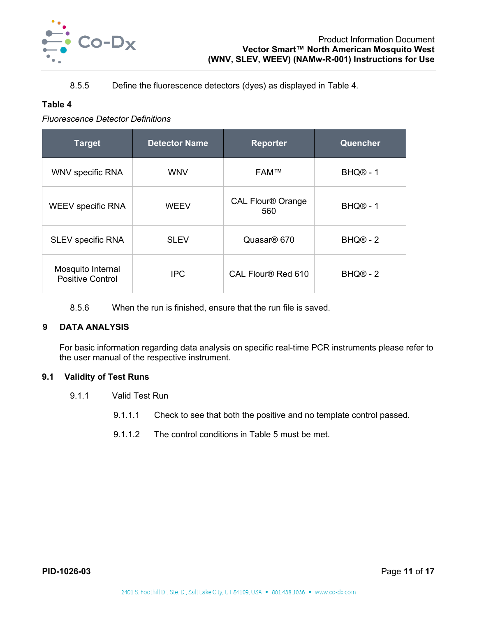

## 8.5.5 Define the fluorescence detectors (dyes) as displayed in [Table 4.](#page-11-2)

## <span id="page-11-2"></span>**Table 4**

*Fluorescence Detector Definitions*

| <b>Detector Name</b><br><b>Target</b>        |             | <b>Reporter</b>                 | Quencher             |
|----------------------------------------------|-------------|---------------------------------|----------------------|
| <b>WNV specific RNA</b>                      | <b>WNV</b>  | <b>FAM™</b>                     | BHQ <sup>®</sup> - 1 |
| <b>WEEV specific RNA</b>                     | <b>WEEV</b> | <b>CAL Flour® Orange</b><br>560 | BHQ <sup>®</sup> - 1 |
| <b>SLEV specific RNA</b>                     | <b>SLEV</b> | Quasar <sup>®</sup> 670         | BHQ <sup>®</sup> - 2 |
| Mosquito Internal<br><b>Positive Control</b> | <b>IPC</b>  | CAL Flour® Red 610              | BHQ <sup>®</sup> - 2 |

8.5.6 When the run is finished, ensure that the run file is saved.

## <span id="page-11-0"></span>**9 DATA ANALYSIS**

For basic information regarding data analysis on specific real-time PCR instruments please refer to the user manual of the respective instrument.

## <span id="page-11-1"></span>**9.1 Validity of Test Runs**

- 9.1.1 Valid Test Run
	- 9.1.1.1 Check to see that both the positive and no template control passed.
	- 9.1.1.2 The control conditions in [Table 5](#page-12-1) must be met.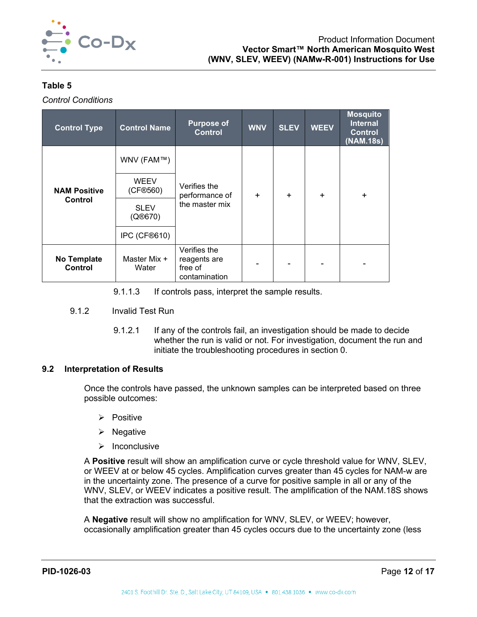

# <span id="page-12-1"></span>**Table 5**

*Control Conditions* 

| <b>Control Type</b>    | <b>Control Name</b>     | <b>Purpose of</b><br><b>Control</b>                      | <b>WNV</b> | <b>SLEV</b> | <b>WEEV</b> | <b>Mosquito</b><br><b>Internal</b><br><b>Control</b><br>(NAM.18s) |
|------------------------|-------------------------|----------------------------------------------------------|------------|-------------|-------------|-------------------------------------------------------------------|
|                        | WNV (FAM™)              |                                                          | ÷          | $\ddot{}$   | ÷.          |                                                                   |
| <b>NAM Positive</b>    | <b>WEEV</b><br>(CF®560) | Verifies the<br>performance of                           |            |             |             | $\ddot{}$                                                         |
| <b>Control</b>         | <b>SLEV</b><br>(Q@670)  | the master mix                                           |            |             |             |                                                                   |
|                        | IPC (CF®610)            |                                                          |            |             |             |                                                                   |
| No Template<br>Control | Master Mix +<br>Water   | Verifies the<br>reagents are<br>free of<br>contamination |            |             |             |                                                                   |

- 9.1.1.3 If controls pass, interpret the sample results.
- 9.1.2 Invalid Test Run
	- 9.1.2.1 If any of the controls fail, an investigation should be made to decide whether the run is valid or not. For investigation, document the run and initiate the troubleshooting procedures in section [0.](#page-13-0)

## <span id="page-12-0"></span>**9.2 Interpretation of Results**

Once the controls have passed, the unknown samples can be interpreted based on three possible outcomes:

- $\triangleright$  Positive
- $\triangleright$  Negative
- $\triangleright$  Inconclusive

A **Positive** result will show an amplification curve or cycle threshold value for WNV, SLEV, or WEEV at or below 45 cycles. Amplification curves greater than 45 cycles for NAM-w are in the uncertainty zone. The presence of a curve for positive sample in all or any of the WNV, SLEV, or WEEV indicates a positive result. The amplification of the NAM.18S shows that the extraction was successful.

A **Negative** result will show no amplification for WNV, SLEV, or WEEV; however, occasionally amplification greater than 45 cycles occurs due to the uncertainty zone (less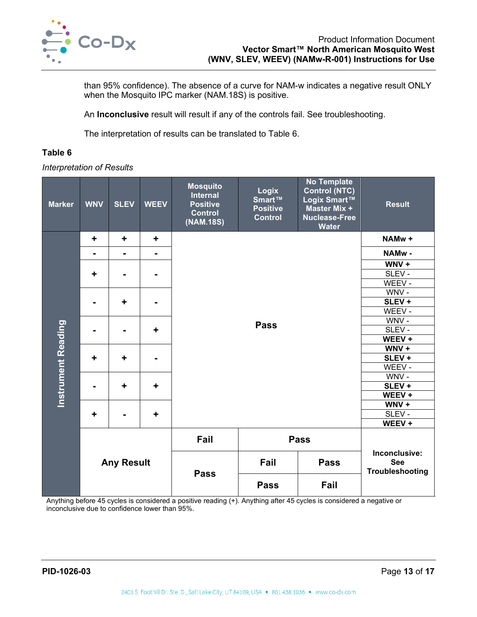

than 95% confidence). The absence of a curve for NAM-w indicates a negative result ONLY when the Mosquito IPC marker (NAM.18S) is positive.

An **Inconclusive** result will result if any of the controls fail. See troubleshooting.

The interpretation of results can be translated to [Table 6.](#page-13-1)

#### <span id="page-13-1"></span>**Table 6**

*Interpretation of Results*

| <b>Marker</b>             | <b>WNV</b> | <b>SLEV</b>       | <b>WEEV</b>    | <b>Mosquito</b><br><b>Internal</b><br><b>Positive</b><br><b>Control</b><br>(NAM.18S) | Logix<br>Smart™<br><b>Positive</b><br><b>Control</b> | <b>No Template</b><br><b>Control (NTC)</b><br>Logix Smart™<br>Master Mix +<br><b>Nuclease-Free</b><br><b>Water</b> | <b>Result</b>    |
|---------------------------|------------|-------------------|----------------|--------------------------------------------------------------------------------------|------------------------------------------------------|--------------------------------------------------------------------------------------------------------------------|------------------|
|                           | ÷          | ÷                 | ÷              |                                                                                      |                                                      |                                                                                                                    | NAMw +           |
|                           | ۰          | $\blacksquare$    | $\blacksquare$ |                                                                                      |                                                      |                                                                                                                    | NAMw-            |
|                           |            |                   |                |                                                                                      |                                                      |                                                                                                                    | $WNV +$          |
|                           | ÷          | $\blacksquare$    | Ξ.             |                                                                                      |                                                      |                                                                                                                    | SLEV-            |
|                           |            |                   |                |                                                                                      |                                                      |                                                                                                                    | WEEV -           |
|                           |            |                   |                |                                                                                      |                                                      |                                                                                                                    | WNV-             |
|                           |            | ٠                 |                |                                                                                      |                                                      |                                                                                                                    | SLEV+            |
|                           |            |                   |                |                                                                                      |                                                      |                                                                                                                    | WEEV -           |
|                           |            |                   |                |                                                                                      | WNV-                                                 |                                                                                                                    |                  |
| <b>Instrument Reading</b> |            | $\blacksquare$    | ٠              | <b>Pass</b>                                                                          |                                                      |                                                                                                                    | SLEV -<br>WEEV + |
|                           |            |                   |                |                                                                                      | $WNV +$                                              |                                                                                                                    |                  |
|                           | ÷          | ٠                 | $\blacksquare$ |                                                                                      |                                                      |                                                                                                                    | SLEV+            |
|                           |            |                   |                |                                                                                      |                                                      |                                                                                                                    | WEEV -           |
|                           |            |                   |                |                                                                                      |                                                      |                                                                                                                    | WNV-             |
|                           |            | ÷                 | ÷              |                                                                                      |                                                      |                                                                                                                    | SLEV+            |
|                           |            |                   |                |                                                                                      |                                                      |                                                                                                                    | WEEV +           |
|                           |            |                   |                |                                                                                      |                                                      |                                                                                                                    | WNV+             |
|                           | ÷          | $\blacksquare$    | ÷              |                                                                                      |                                                      |                                                                                                                    | SLEV-            |
|                           |            |                   |                |                                                                                      |                                                      |                                                                                                                    | WEEV +           |
|                           |            |                   |                | Fail                                                                                 |                                                      |                                                                                                                    |                  |
|                           |            | <b>Any Result</b> |                | Fail<br><b>Pass</b>                                                                  |                                                      | Inconclusive:<br><b>See</b><br>Troubleshooting                                                                     |                  |
|                           |            |                   |                | <b>Pass</b>                                                                          | <b>Pass</b>                                          | Fail                                                                                                               |                  |

<span id="page-13-0"></span>Anything before 45 cycles is considered a positive reading (+). Anything after 45 cycles is considered a negative or inconclusive due to confidence lower than 95%.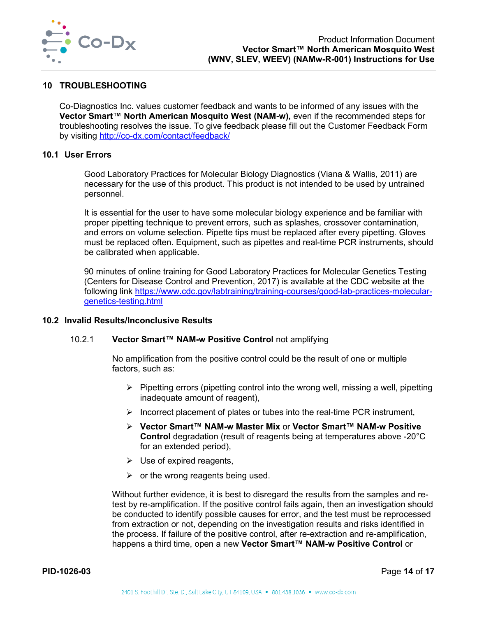

## <span id="page-14-0"></span>**10 TROUBLESHOOTING**

Co-Diagnostics Inc. values customer feedback and wants to be informed of any issues with the Vector Smart<sup>™</sup> North American Mosquito West (NAM-w), even if the recommended steps for troubleshooting resolves the issue. To give feedback please fill out the Customer Feedback Form by visiting<http://co-dx.com/contact/feedback/>

#### <span id="page-14-1"></span>**10.1 User Errors**

Good Laboratory Practices for Molecular Biology Diagnostics (Viana & Wallis, 2011) are necessary for the use of this product. This product is not intended to be used by untrained personnel.

It is essential for the user to have some molecular biology experience and be familiar with proper pipetting technique to prevent errors, such as splashes, crossover contamination, and errors on volume selection. Pipette tips must be replaced after every pipetting. Gloves must be replaced often. Equipment, such as pipettes and real-time PCR instruments, should be calibrated when applicable.

90 minutes of online training for Good Laboratory Practices for Molecular Genetics Testing (Centers for Disease Control and Prevention, 2017) is available at the CDC website at the following link [https://www.cdc.gov/labtraining/training-courses/good-lab-practices-molecular](https://www.cdc.gov/labtraining/training-courses/good-lab-practices-molecular-genetics-testing.html)[genetics-testing.html](https://www.cdc.gov/labtraining/training-courses/good-lab-practices-molecular-genetics-testing.html)

#### <span id="page-14-2"></span>**10.2 Invalid Results/Inconclusive Results**

#### 10.2.1 **Vector Smart™ NAM-w Positive Control** not amplifying

No amplification from the positive control could be the result of one or multiple factors, such as:

- $\triangleright$  Pipetting errors (pipetting control into the wrong well, missing a well, pipetting inadequate amount of reagent),
- $\triangleright$  Incorrect placement of plates or tubes into the real-time PCR instrument,
- **Vector Smart™ NAM-w Master Mix** or **Vector Smart™ NAM-w Positive Control** degradation (result of reagents being at temperatures above -20°C for an extended period),
- $\triangleright$  Use of expired reagents,
- $\triangleright$  or the wrong reagents being used.

Without further evidence, it is best to disregard the results from the samples and retest by re-amplification. If the positive control fails again, then an investigation should be conducted to identify possible causes for error, and the test must be reprocessed from extraction or not, depending on the investigation results and risks identified in the process. If failure of the positive control, after re-extraction and re-amplification, happens a third time, open a new **Vector Smart™ NAM-w Positive Control** or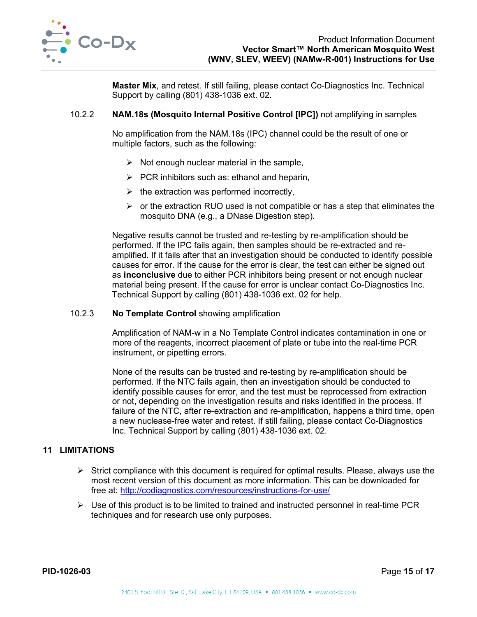

**Master Mix**, and retest. If still failing, please contact Co-Diagnostics Inc. Technical Support by calling (801) 438-1036 ext. 02.

#### 10.2.2 **NAM.18s (Mosquito Internal Positive Control [IPC])** not amplifying in samples

No amplification from the NAM.18s (IPC) channel could be the result of one or multiple factors, such as the following:

- $\triangleright$  Not enough nuclear material in the sample,
- $\triangleright$  PCR inhibitors such as: ethanol and heparin,
- $\triangleright$  the extraction was performed incorrectly,
- $\triangleright$  or the extraction RUO used is not compatible or has a step that eliminates the mosquito DNA (e.g., a DNase Digestion step).

Negative results cannot be trusted and re-testing by re-amplification should be performed. If the IPC fails again, then samples should be re-extracted and reamplified. If it fails after that an investigation should be conducted to identify possible causes for error. If the cause for the error is clear, the test can either be signed out as **inconclusive** due to either PCR inhibitors being present or not enough nuclear material being present. If the cause for error is unclear contact Co-Diagnostics Inc. Technical Support by calling (801) 438-1036 ext. 02 for help.

#### 10.2.3 **No Template Control** showing amplification

Amplification of NAM-w in a No Template Control indicates contamination in one or more of the reagents, incorrect placement of plate or tube into the real-time PCR instrument, or pipetting errors.

None of the results can be trusted and re-testing by re-amplification should be performed. If the NTC fails again, then an investigation should be conducted to identify possible causes for error, and the test must be reprocessed from extraction or not, depending on the investigation results and risks identified in the process. If failure of the NTC, after re-extraction and re-amplification, happens a third time, open a new nuclease-free water and retest. If still failing, please contact Co-Diagnostics Inc. Technical Support by calling (801) 438-1036 ext. 02.

# <span id="page-15-0"></span>**11 LIMITATIONS**

- $\triangleright$  Strict compliance with this document is required for optimal results. Please, always use the most recent version of this document as more information. This can be downloaded for free at:<http://codiagnostics.com/resources/instructions-for-use/>
- $\triangleright$  Use of this product is to be limited to trained and instructed personnel in real-time PCR techniques and for research use only purposes.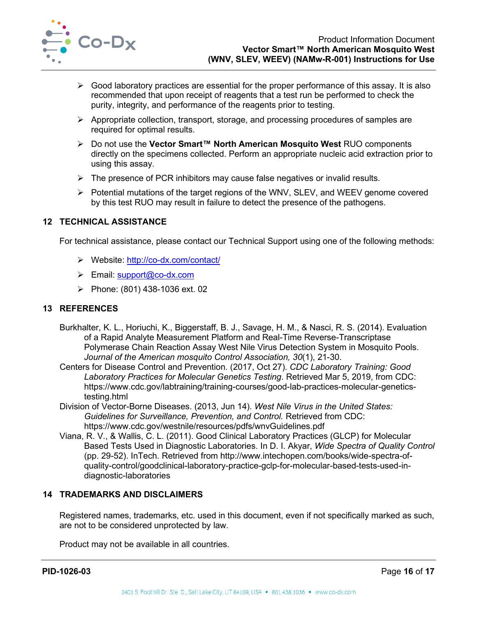

- $\triangleright$  Good laboratory practices are essential for the proper performance of this assay. It is also recommended that upon receipt of reagents that a test run be performed to check the purity, integrity, and performance of the reagents prior to testing.
- Appropriate collection, transport, storage, and processing procedures of samples are required for optimal results.
- Do not use the **Vector Smart™ North American Mosquito West** RUO components directly on the specimens collected. Perform an appropriate nucleic acid extraction prior to using this assay.
- $\triangleright$  The presence of PCR inhibitors may cause false negatives or invalid results.
- Potential mutations of the target regions of the WNV, SLEV, and WEEV genome covered by this test RUO may result in failure to detect the presence of the pathogens.

#### <span id="page-16-0"></span>**12 TECHNICAL ASSISTANCE**

For technical assistance, please contact our Technical Support using one of the following methods:

- Website:<http://co-dx.com/contact/>
- $\triangleright$  Email: [support@co-dx.com](mailto:support@co-dx.com)
- Phone:  $(801)$  438-1036 ext. 02

## <span id="page-16-1"></span>**13 REFERENCES**

- Burkhalter, K. L., Horiuchi, K., Biggerstaff, B. J., Savage, H. M., & Nasci, R. S. (2014). Evaluation of a Rapid Analyte Measurement Platform and Real-Time Reverse-Transcriptase Polymerase Chain Reaction Assay West Nile Virus Detection System in Mosquito Pools. *Journal of the American mosquito Control Association, 30*(1), 21-30.
- Centers for Disease Control and Prevention. (2017, Oct 27). *CDC Laboratory Training: Good Laboratory Practices for Molecular Genetics Testing*. Retrieved Mar 5, 2019, from CDC: https://www.cdc.gov/labtraining/training-courses/good-lab-practices-molecular-geneticstesting.html
- Division of Vector-Borne Diseases. (2013, Jun 14). *West Nile Virus in the United States: Guidelines for Surveillance, Prevention, and Control.* Retrieved from CDC: https://www.cdc.gov/westnile/resources/pdfs/wnvGuidelines.pdf
- Viana, R. V., & Wallis, C. L. (2011). Good Clinical Laboratory Practices (GLCP) for Molecular Based Tests Used in Diagnostic Laboratories. In D. I. Akyar, *Wide Spectra of Quality Control* (pp. 29-52). InTech. Retrieved from http://www.intechopen.com/books/wide-spectra-ofquality-control/goodclinical-laboratory-practice-gclp-for-molecular-based-tests-used-indiagnostic-laboratories

## <span id="page-16-2"></span>**14 TRADEMARKS AND DISCLAIMERS**

Registered names, trademarks, etc. used in this document, even if not specifically marked as such, are not to be considered unprotected by law.

Product may not be available in all countries.